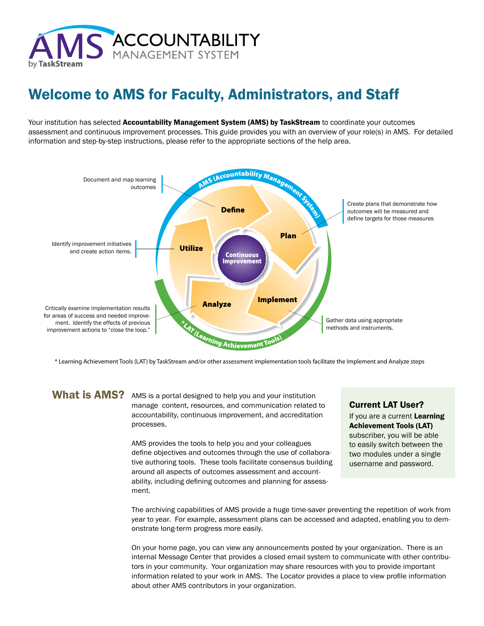

# Welcome to AMS for Faculty, Administrators, and Staff

Your institution has selected Accountability Management System (AMS) by TaskStream to coordinate your outcomes assessment and continuous improvement processes. This guide provides you with an overview of your role(s) in AMS. For detailed information and step-by-step instructions, please refer to the appropriate sections of the help area.



\* Learning Achievement Tools (LAT) by TaskStream and/or other assessment implementation tools facilitate the Implement and Analyze steps

#### What is AMS?

AMS is a portal designed to help you and your institution manage content, resources, and communication related to accountability, continuous improvement, and accreditation processes.

AMS provides the tools to help you and your colleagues define objectives and outcomes through the use of collaborative authoring tools. These tools facilitate consensus building around all aspects of outcomes assessment and accountability, including defining outcomes and planning for assessment.

#### Current LAT User?

If you are a current Learning Achievement Tools (LAT) subscriber, you will be able to easily switch between the two modules under a single username and password.

The archiving capabilities of AMS provide a huge time-saver preventing the repetition of work from year to year. For example, assessment plans can be accessed and adapted, enabling you to demonstrate long-term progress more easily.

On your home page, you can view any announcements posted by your organization. There is an internal Message Center that provides a closed email system to communicate with other contributors in your community. Your organization may share resources with you to provide important information related to your work in AMS. The Locator provides a place to view profile information about other AMS contributors in your organization.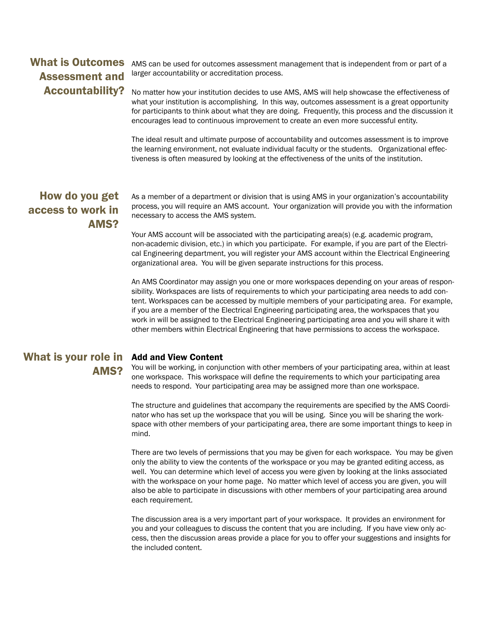### What is Outcomes Assessment and Accountability?

AMS can be used for outcomes assessment management that is independent from or part of a larger accountability or accreditation process.

No matter how your institution decides to use AMS, AMS will help showcase the effectiveness of what your institution is accomplishing. In this way, outcomes assessment is a great opportunity for participants to think about what they are doing. Frequently, this process and the discussion it encourages lead to continuous improvement to create an even more successful entity.

The ideal result and ultimate purpose of accountability and outcomes assessment is to improve the learning environment, not evaluate individual faculty or the students. Organizational effectiveness is often measured by looking at the effectiveness of the units of the institution.

### How do you get access to work in AMS?

As a member of a department or division that is using AMS in your organization's accountability process, you will require an AMS account. Your organization will provide you with the information necessary to access the AMS system.

Your AMS account will be associated with the participating area(s) (e.g. academic program, non-academic division, etc.) in which you participate. For example, if you are part of the Electrical Engineering department, you will register your AMS account within the Electrical Engineering organizational area. You will be given separate instructions for this process.

An AMS Coordinator may assign you one or more workspaces depending on your areas of responsibility. Workspaces are lists of requirements to which your participating area needs to add content. Workspaces can be accessed by multiple members of your participating area. For example, if you are a member of the Electrical Engineering participating area, the workspaces that you work in will be assigned to the Electrical Engineering participating area and you will share it with other members within Electrical Engineering that have permissions to access the workspace.

#### What is your role in Add and View Content AMS?

You will be working, in conjunction with other members of your participating area, within at least one workspace. This workspace will define the requirements to which your participating area needs to respond. Your participating area may be assigned more than one workspace.

The structure and guidelines that accompany the requirements are specified by the AMS Coordinator who has set up the workspace that you will be using. Since you will be sharing the workspace with other members of your participating area, there are some important things to keep in mind.

There are two levels of permissions that you may be given for each workspace. You may be given only the ability to view the contents of the workspace or you may be granted editing access, as well. You can determine which level of access you were given by looking at the links associated with the workspace on your home page. No matter which level of access you are given, you will also be able to participate in discussions with other members of your participating area around each requirement.

The discussion area is a very important part of your workspace. It provides an environment for you and your colleagues to discuss the content that you are including. If you have view only access, then the discussion areas provide a place for you to offer your suggestions and insights for the included content.